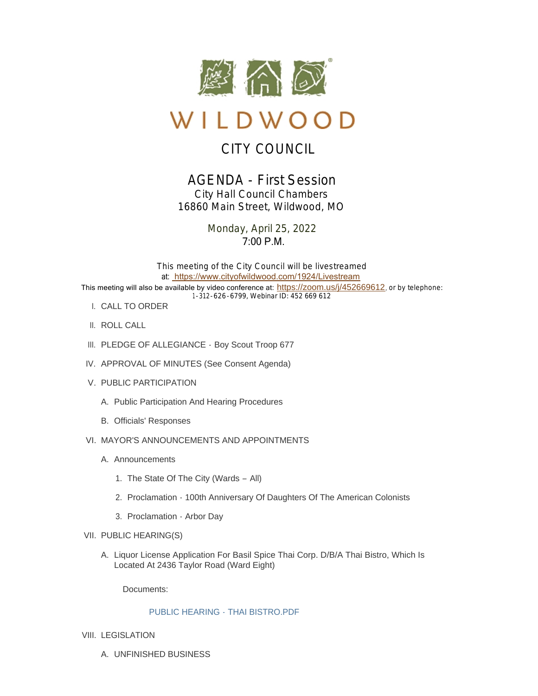

# WILDWOOD

## CITY COUNCIL

### AGENDA - First Session *City Hall Council Chambers 16860 Main Street, Wildwood, MO*

Monday, April 25, 2022 7:00 P.M.

This meeting of the City Council will be livestreamed at: [https://www.cityofwildwood.com/1924/Livestream](https://www.cityofwildwood.com/Admin/AgendaCenter/Agenda/Edit/%20https://www.cityofwildwood.com/1924/Livestream) This meeting will also be available by video conference at: <https://zoom.us/j/452669612>, or by telephone: 1-312-626-6799, Webinar ID: 452 669 612

- CALL TO ORDER I.
- II. ROLL CALL
- III. PLEDGE OF ALLEGIANCE Boy Scout Troop 677
- IV. APPROVAL OF MINUTES (See Consent Agenda)
- V. PUBLIC PARTICIPATION
	- A. Public Participation And Hearing Procedures
	- B. Officials' Responses
- VI. MAYOR'S ANNOUNCEMENTS AND APPOINTMENTS
	- A. Announcements
		- 1. The State Of The City (Wards All)
		- 2. Proclamation 100th Anniversary Of Daughters Of The American Colonists
		- 3. Proclamation Arbor Day
- VII. PUBLIC HEARING(S)
	- A. Liquor License Application For Basil Spice Thai Corp. D/B/A Thai Bistro, Which Is Located At 2436 Taylor Road (Ward Eight)

Documents:

#### [PUBLIC HEARING - THAI BISTRO.PDF](https://www.cityofwildwood.com/AgendaCenter/ViewFile/Item/32369?fileID=33941)

- VIII. LEGISLATION
	- UNFINISHED BUSINESS A.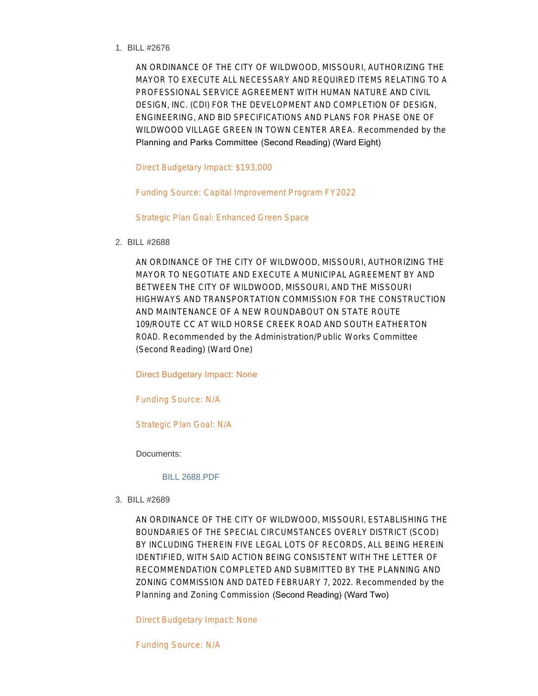BILL #2676 1.

AN ORDINANCE OF THE CITY OF WILDWOOD, MISSOURI, AUTHORIZING THE MAYOR TO EXECUTE ALL NECESSARY AND REQUIRED ITEMS RELATING TO A PROFESSIONAL SERVICE AGREEMENT WITH HUMAN NATURE AND CIVIL DESIGN, INC. (CDI) FOR THE DEVELOPMENT AND COMPLETION OF DESIGN, ENGINEERING, AND BID SPECIFICATIONS AND PLANS FOR PHASE ONE OF WILDWOOD VILLAGE GREEN IN TOWN CENTER AREA. *Recommended by the*  Planning and Parks Committee (Second Reading) (Ward Eight)

Direct Budgetary Impact: \$193,000

Funding Source: Capital Improvement Program FY2022

Strategic Plan Goal: Enhanced Green Space

BILL #2688 2.

AN ORDINANCE OF THE CITY OF WILDWOOD, MISSOURI, AUTHORIZING THE MAYOR TO NEGOTIATE AND EXECUTE A MUNICIPAL AGREEMENT BY AND BETWEEN THE CITY OF WILDWOOD, MISSOURI, AND THE MISSOURI HIGHWAYS AND TRANSPORTATION COMMISSION FOR THE CONSTRUCTION AND MAINTENANCE OF A NEW ROUNDABOUT ON STATE ROUTE 109/ROUTE CC AT WILD HORSE CREEK ROAD AND SOUTH EATHERTON ROAD. *Recommended by the Administration/Public Works Committee* (Second Reading) (Ward One)

Direct Budgetary Impact: None

Funding Source: N/A

Strategic Plan Goal: N/A

Documents:

[BILL 2688.PDF](https://www.cityofwildwood.com/AgendaCenter/ViewFile/Item/32373?fileID=33942)

BILL #2689 3.

AN ORDINANCE OF THE CITY OF WILDWOOD, MISSOURI, ESTABLISHING THE BOUNDARIES OF THE SPECIAL CIRCUMSTANCES OVERLY DISTRICT (SCOD) BY INCLUDING THEREIN FIVE LEGAL LOTS OF RECORDS, ALL BEING HEREIN IDENTIFIED, WITH SAID ACTION BEING CONSISTENT WITH THE LETTER OF RECOMMENDATION COMPLETED AND SUBMITTED BY THE PLANNING AND ZONING COMMISSION AND DATED FEBRUARY 7, 2022. *Recommended by the Planning and Zoning Commission* (Second Reading) (Ward Two)

Direct Budgetary Impact: None

Funding Source: N/A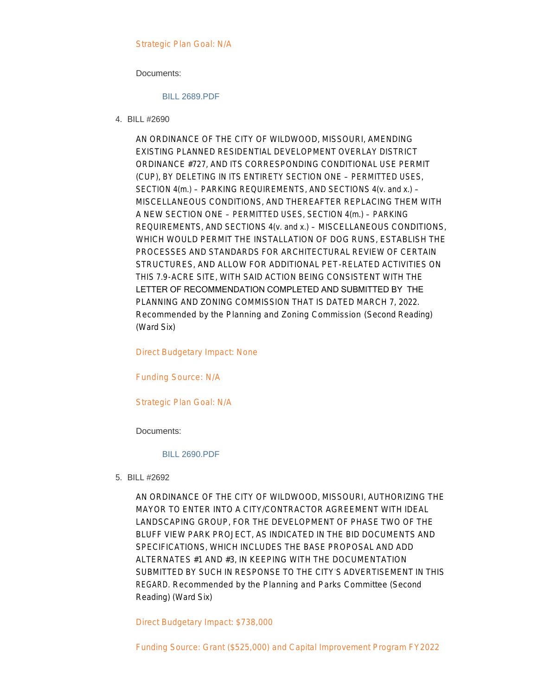Strategic Plan Goal: N/A

Documents:

#### [BILL 2689.PDF](https://www.cityofwildwood.com/AgendaCenter/ViewFile/Item/32374?fileID=33943)

BILL #2690 4.

AN ORDINANCE OF THE CITY OF WILDWOOD, MISSOURI, AMENDING EXISTING PLANNED RESIDENTIAL DEVELOPMENT OVERLAY DISTRICT ORDINANCE #727, AND ITS CORRESPONDING CONDITIONAL USE PERMIT (CUP), BY DELETING IN ITS ENTIRETY SECTION ONE – PERMITTED USES, SECTION 4(m.) – PARKING REQUIREMENTS, AND SECTIONS 4(v. and x.) – MISCELLANEOUS CONDITIONS, AND THEREAFTER REPLACING THEM WITH A NEW SECTION ONE – PERMITTED USES, SECTION 4(m.) – PARKING REQUIREMENTS, AND SECTIONS 4(v. and x.) – MISCELLANEOUS CONDITIONS, WHICH WOULD PERMIT THE INSTALLATION OF DOG RUNS, ESTABLISH THE PROCESSES AND STANDARDS FOR ARCHITECTURAL REVIEW OF CERTAIN STRUCTURES, AND ALLOW FOR ADDITIONAL PET-RELATED ACTIVITIES ON THIS 7.9-ACRE SITE, WITH SAID ACTION BEING CONSISTENT WITH THE LETTER OF RECOMMENDATION COMPLETED AND SUBMITTED BY THE PLANNING AND ZONING COMMISSION THAT IS DATED MARCH 7, 2022. *Recommended by the Planning and Zoning Commission* (Second Reading) (Ward Six)

Direct Budgetary Impact: None

Funding Source: N/A

Strategic Plan Goal: N/A

Documents:

#### [BILL 2690.PDF](https://www.cityofwildwood.com/AgendaCenter/ViewFile/Item/32375?fileID=33944)

BILL #2692 5.

AN ORDINANCE OF THE CITY OF WILDWOOD, MISSOURI, AUTHORIZING THE MAYOR TO ENTER INTO A CITY/CONTRACTOR AGREEMENT WITH IDEAL LANDSCAPING GROUP, FOR THE DEVELOPMENT OF PHASE TWO OF THE BLUFF VIEW PARK PROJECT, AS INDICATED IN THE BID DOCUMENTS AND SPECIFICATIONS, WHICH INCLUDES THE BASE PROPOSAL AND ADD ALTERNATES #1 AND #3, IN KEEPING WITH THE DOCUMENTATION SUBMITTED BY SUCH IN RESPONSE TO THE CITY'S ADVERTISEMENT IN THIS REGARD. *Recommended by the Planning and Parks Committee* (Second Reading) (Ward Six)

Direct Budgetary Impact: \$738,000

Funding Source: Grant (\$525,000) and Capital Improvement Program FY2022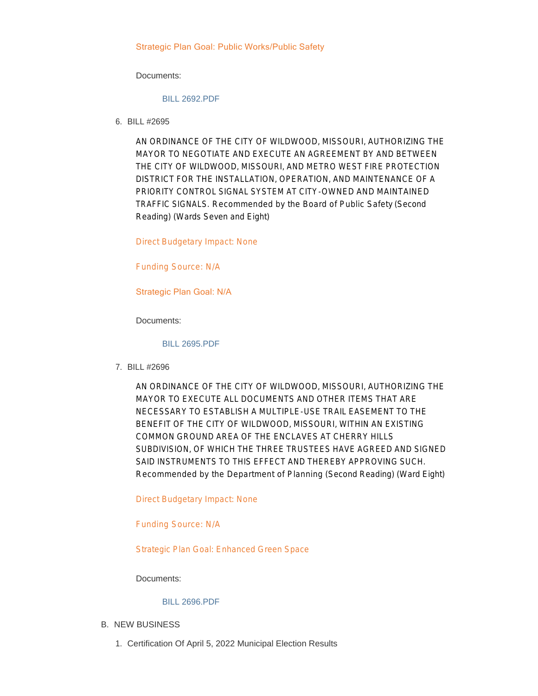#### Strategic Plan Goal: Public Works/Public Safety

Documents:

#### [BILL 2692.PDF](https://www.cityofwildwood.com/AgendaCenter/ViewFile/Item/32376?fileID=33945)

BILL #2695 6.

AN ORDINANCE OF THE CITY OF WILDWOOD, MISSOURI, AUTHORIZING THE MAYOR TO NEGOTIATE AND EXECUTE AN AGREEMENT BY AND BETWEEN THE CITY OF WILDWOOD, MISSOURI, AND METRO WEST FIRE PROTECTION DISTRICT FOR THE INSTALLATION, OPERATION, AND MAINTENANCE OF A PRIORITY CONTROL SIGNAL SYSTEM AT CITY-OWNED AND MAINTAINED TRAFFIC SIGNALS. *Recommended by the Board of Public Safety* (Second Reading) (Wards Seven and Eight)

Direct Budgetary Impact: None

Funding Source: N/A

Strategic Plan Goal: N/A

Documents:

[BILL 2695.PDF](https://www.cityofwildwood.com/AgendaCenter/ViewFile/Item/32377?fileID=33946)

BILL #2696 7.

AN ORDINANCE OF THE CITY OF WILDWOOD, MISSOURI, AUTHORIZING THE MAYOR TO EXECUTE ALL DOCUMENTS AND OTHER ITEMS THAT ARE NECESSARY TO ESTABLISH A MULTIPLE-USE TRAIL EASEMENT TO THE BENEFIT OF THE CITY OF WILDWOOD, MISSOURI, WITHIN AN EXISTING COMMON GROUND AREA OF THE ENCLAVES AT CHERRY HILLS SUBDIVISION, OF WHICH THE THREE TRUSTEES HAVE AGREED AND SIGNED SAID INSTRUMENTS TO THIS EFFECT AND THEREBY APPROVING SUCH. *Recommended by the Department of Planning* (Second Reading) (Ward Eight)

Direct Budgetary Impact: None

Funding Source: N/A

Strategic Plan Goal: Enhanced Green Space

Documents:

#### [BILL 2696.PDF](https://www.cityofwildwood.com/AgendaCenter/ViewFile/Item/32378?fileID=33947)

- **B. NEW BUSINESS** 
	- 1. Certification Of April 5, 2022 Municipal Election Results